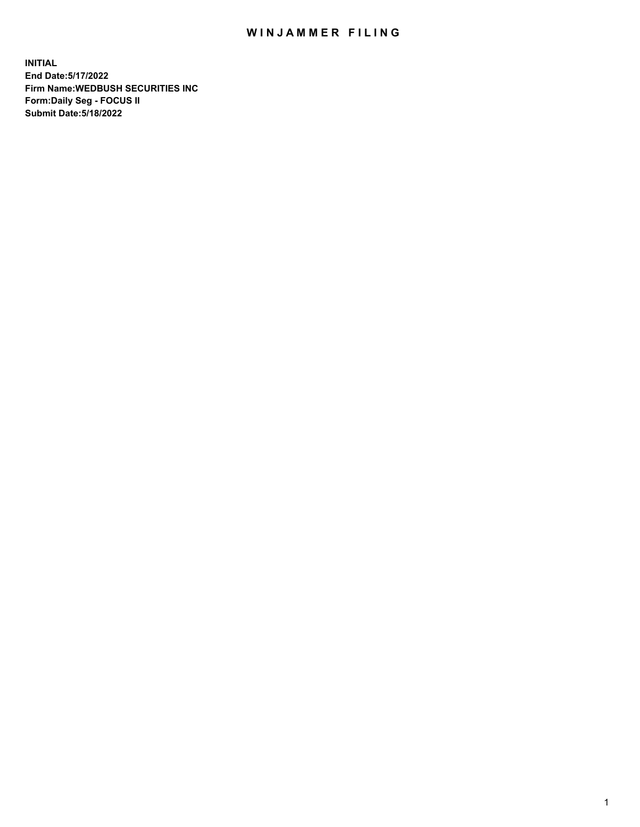## WIN JAMMER FILING

**INITIAL End Date:5/17/2022 Firm Name:WEDBUSH SECURITIES INC Form:Daily Seg - FOCUS II Submit Date:5/18/2022**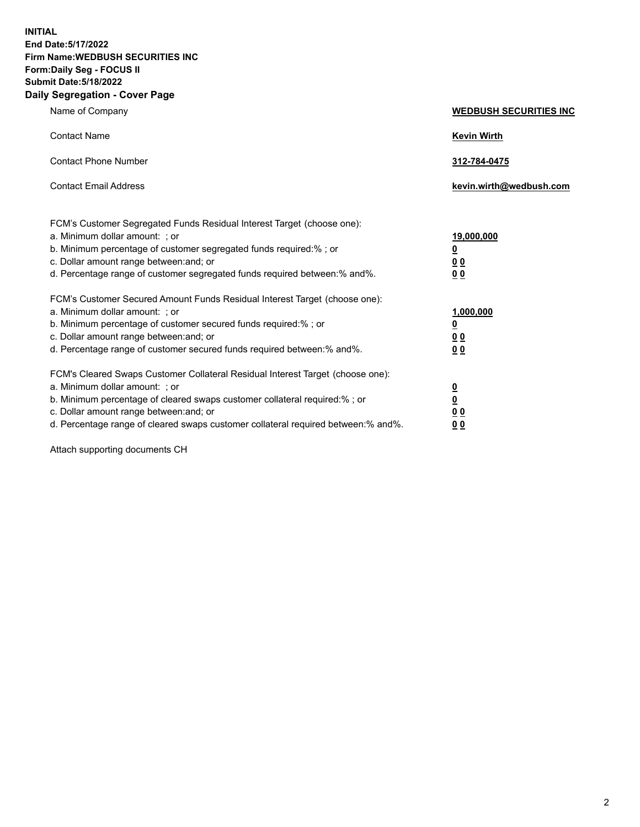**INITIAL End Date:5/17/2022 Firm Name:WEDBUSH SECURITIES INC Form:Daily Seg - FOCUS II Submit Date:5/18/2022 Daily Segregation - Cover Page**

| Name of Company                                                                                                                                                                                                                                                                                        | <b>WEDBUSH SECURITIES INC</b>                        |  |
|--------------------------------------------------------------------------------------------------------------------------------------------------------------------------------------------------------------------------------------------------------------------------------------------------------|------------------------------------------------------|--|
| <b>Contact Name</b>                                                                                                                                                                                                                                                                                    | <b>Kevin Wirth</b>                                   |  |
| <b>Contact Phone Number</b>                                                                                                                                                                                                                                                                            | 312-784-0475                                         |  |
| <b>Contact Email Address</b>                                                                                                                                                                                                                                                                           | kevin.wirth@wedbush.com                              |  |
| FCM's Customer Segregated Funds Residual Interest Target (choose one):<br>a. Minimum dollar amount: ; or<br>b. Minimum percentage of customer segregated funds required:% ; or<br>c. Dollar amount range between: and; or<br>d. Percentage range of customer segregated funds required between:% and%. | 19,000,000<br><u>0</u><br>00<br>0 <sub>0</sub>       |  |
| FCM's Customer Secured Amount Funds Residual Interest Target (choose one):<br>a. Minimum dollar amount: ; or<br>b. Minimum percentage of customer secured funds required:%; or<br>c. Dollar amount range between: and; or<br>d. Percentage range of customer secured funds required between: % and %.  | 1,000,000<br><u>0</u><br><u>00</u><br>0 <sub>0</sub> |  |
| FCM's Cleared Swaps Customer Collateral Residual Interest Target (choose one):<br>a. Minimum dollar amount: ; or<br>b. Minimum percentage of cleared swaps customer collateral required:%; or<br>c. Dollar amount range between: and; or                                                               | $\frac{0}{0}$<br>0 <sub>0</sub>                      |  |

d. Percentage range of cleared swaps customer collateral required between:% and%. **0 0**

Attach supporting documents CH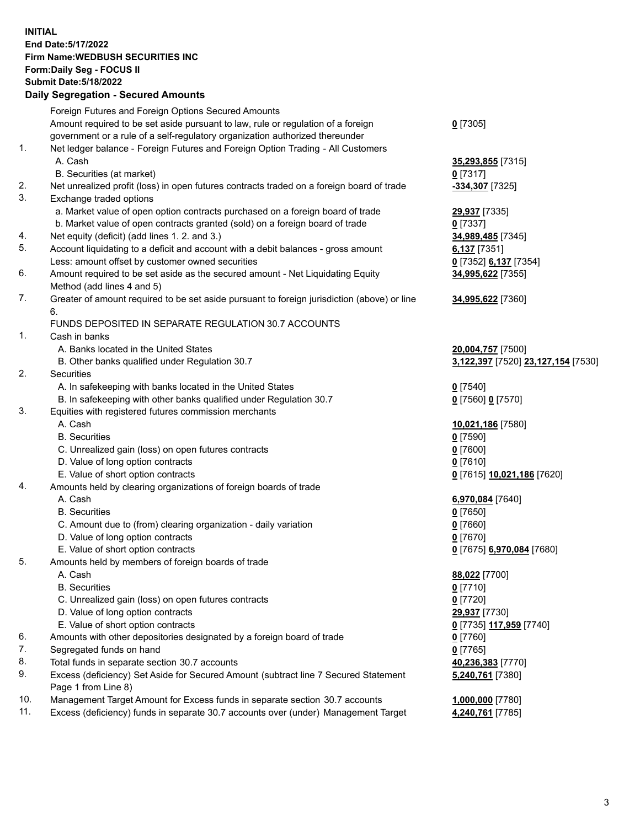**INITIAL End Date:5/17/2022 Firm Name:WEDBUSH SECURITIES INC Form:Daily Seg - FOCUS II Submit Date:5/18/2022 Daily Segregation - Secured Amounts**

|     | $\frac{1}{2}$                                                                                                               |                                    |
|-----|-----------------------------------------------------------------------------------------------------------------------------|------------------------------------|
|     | Foreign Futures and Foreign Options Secured Amounts                                                                         |                                    |
|     | Amount required to be set aside pursuant to law, rule or regulation of a foreign                                            | $0$ [7305]                         |
|     | government or a rule of a self-regulatory organization authorized thereunder                                                |                                    |
| 1.  | Net ledger balance - Foreign Futures and Foreign Option Trading - All Customers                                             |                                    |
|     | A. Cash                                                                                                                     | 35,293,855 [7315]                  |
|     | B. Securities (at market)                                                                                                   | $0$ [7317]                         |
| 2.  | Net unrealized profit (loss) in open futures contracts traded on a foreign board of trade                                   | -334,307 [7325]                    |
| 3.  | Exchange traded options                                                                                                     |                                    |
|     | a. Market value of open option contracts purchased on a foreign board of trade                                              | 29,937 [7335]                      |
|     | b. Market value of open contracts granted (sold) on a foreign board of trade                                                | 0 [7337]                           |
| 4.  | Net equity (deficit) (add lines 1. 2. and 3.)                                                                               | 34,989,485 [7345]                  |
| 5.  | Account liquidating to a deficit and account with a debit balances - gross amount                                           | 6,137 $[7351]$                     |
|     | Less: amount offset by customer owned securities                                                                            | 0 [7352] 6,137 [7354]              |
| 6.  | Amount required to be set aside as the secured amount - Net Liquidating Equity                                              | 34,995,622 [7355]                  |
|     | Method (add lines 4 and 5)                                                                                                  |                                    |
| 7.  | Greater of amount required to be set aside pursuant to foreign jurisdiction (above) or line                                 | 34,995,622 [7360]                  |
|     | 6.                                                                                                                          |                                    |
|     | FUNDS DEPOSITED IN SEPARATE REGULATION 30.7 ACCOUNTS                                                                        |                                    |
| 1.  | Cash in banks                                                                                                               |                                    |
|     | A. Banks located in the United States                                                                                       | 20,004,757 [7500]                  |
|     | B. Other banks qualified under Regulation 30.7                                                                              | 3,122,397 [7520] 23,127,154 [7530] |
| 2.  | Securities                                                                                                                  |                                    |
|     | A. In safekeeping with banks located in the United States                                                                   | $0$ [7540]                         |
| 3.  | B. In safekeeping with other banks qualified under Regulation 30.7<br>Equities with registered futures commission merchants | 0 [7560] 0 [7570]                  |
|     | A. Cash                                                                                                                     | 10,021,186 [7580]                  |
|     | <b>B.</b> Securities                                                                                                        | $0$ [7590]                         |
|     | C. Unrealized gain (loss) on open futures contracts                                                                         | $0$ [7600]                         |
|     | D. Value of long option contracts                                                                                           | $0$ [7610]                         |
|     | E. Value of short option contracts                                                                                          | 0 [7615] 10,021,186 [7620]         |
| 4.  | Amounts held by clearing organizations of foreign boards of trade                                                           |                                    |
|     | A. Cash                                                                                                                     | 6,970,084 [7640]                   |
|     | <b>B.</b> Securities                                                                                                        | $0$ [7650]                         |
|     | C. Amount due to (from) clearing organization - daily variation                                                             | $0$ [7660]                         |
|     | D. Value of long option contracts                                                                                           | $0$ [7670]                         |
|     | E. Value of short option contracts                                                                                          | 0 [7675] 6,970,084 [7680]          |
| 5.  | Amounts held by members of foreign boards of trade                                                                          |                                    |
|     | A. Cash                                                                                                                     | 88,022 [7700]                      |
|     | <b>B.</b> Securities                                                                                                        | $0$ [7710]                         |
|     | C. Unrealized gain (loss) on open futures contracts                                                                         | $0$ [7720]                         |
|     | D. Value of long option contracts                                                                                           | 29,937 [7730]                      |
|     | E. Value of short option contracts                                                                                          | 0 [7735] 117,959 [7740]            |
| 6.  | Amounts with other depositories designated by a foreign board of trade                                                      | $0$ [7760]                         |
| 7.  | Segregated funds on hand                                                                                                    | $0$ [7765]                         |
| 8.  | Total funds in separate section 30.7 accounts                                                                               | 40,236,383 [7770]                  |
| 9.  | Excess (deficiency) Set Aside for Secured Amount (subtract line 7 Secured Statement                                         | 5,240,761 [7380]                   |
|     | Page 1 from Line 8)                                                                                                         |                                    |
| 10. | Management Target Amount for Excess funds in separate section 30.7 accounts                                                 | 1,000,000 [7780]                   |
| 11. | Excess (deficiency) funds in separate 30.7 accounts over (under) Management Target                                          | 4,240,761 [7785]                   |
|     |                                                                                                                             |                                    |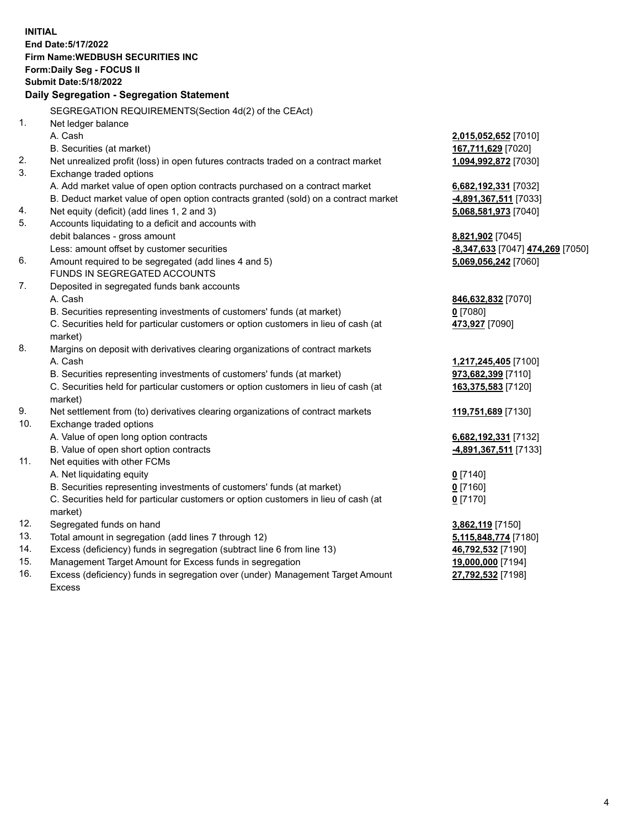|            | <b>INITIAL</b><br>End Date: 5/17/2022<br>Firm Name: WEDBUSH SECURITIES INC<br>Form: Daily Seg - FOCUS II<br><b>Submit Date: 5/18/2022</b><br>Daily Segregation - Segregation Statement |                                  |
|------------|----------------------------------------------------------------------------------------------------------------------------------------------------------------------------------------|----------------------------------|
|            | SEGREGATION REQUIREMENTS(Section 4d(2) of the CEAct)                                                                                                                                   |                                  |
| 1.         | Net ledger balance                                                                                                                                                                     |                                  |
|            | A. Cash                                                                                                                                                                                | 2,015,052,652 [7010]             |
|            | B. Securities (at market)                                                                                                                                                              | 167,711,629 [7020]               |
| 2.         | Net unrealized profit (loss) in open futures contracts traded on a contract market                                                                                                     | 1,094,992,872 [7030]             |
| 3.         | Exchange traded options                                                                                                                                                                |                                  |
|            | A. Add market value of open option contracts purchased on a contract market                                                                                                            | 6,682,192,331 [7032]             |
|            | B. Deduct market value of open option contracts granted (sold) on a contract market                                                                                                    | -4,891,367,511 [7033]            |
| 4.         | Net equity (deficit) (add lines 1, 2 and 3)                                                                                                                                            | 5,068,581,973 [7040]             |
| 5.         | Accounts liquidating to a deficit and accounts with                                                                                                                                    |                                  |
|            | debit balances - gross amount                                                                                                                                                          | 8,821,902 [7045]                 |
|            | Less: amount offset by customer securities                                                                                                                                             | -8,347,633 [7047] 474,269 [7050] |
| 6.         | Amount required to be segregated (add lines 4 and 5)                                                                                                                                   | 5,069,056,242 [7060]             |
|            | FUNDS IN SEGREGATED ACCOUNTS                                                                                                                                                           |                                  |
| 7.         | Deposited in segregated funds bank accounts                                                                                                                                            |                                  |
|            | A. Cash                                                                                                                                                                                | 846,632,832 [7070]               |
|            | B. Securities representing investments of customers' funds (at market)                                                                                                                 | $0$ [7080]                       |
|            | C. Securities held for particular customers or option customers in lieu of cash (at<br>market)                                                                                         | 473,927 [7090]                   |
| 8.         | Margins on deposit with derivatives clearing organizations of contract markets                                                                                                         |                                  |
|            | A. Cash                                                                                                                                                                                | 1,217,245,405 [7100]             |
|            | B. Securities representing investments of customers' funds (at market)                                                                                                                 | 973,682,399 [7110]               |
|            | C. Securities held for particular customers or option customers in lieu of cash (at                                                                                                    | 163,375,583 [7120]               |
|            | market)                                                                                                                                                                                |                                  |
| 9.         | Net settlement from (to) derivatives clearing organizations of contract markets                                                                                                        | 119,751,689 [7130]               |
| 10.        | Exchange traded options                                                                                                                                                                |                                  |
|            | A. Value of open long option contracts                                                                                                                                                 | 6,682,192,331 [7132]             |
|            | B. Value of open short option contracts                                                                                                                                                | <u>-4,891,367,511</u> [7133]     |
| 11.        | Net equities with other FCMs                                                                                                                                                           |                                  |
|            | A. Net liquidating equity                                                                                                                                                              | $0$ [7140]                       |
|            | B. Securities representing investments of customers' funds (at market)                                                                                                                 | $0$ [7160]                       |
|            | C. Securities held for particular customers or option customers in lieu of cash (at                                                                                                    | $0$ [7170]                       |
|            | market)                                                                                                                                                                                |                                  |
| 12.<br>13. | Segregated funds on hand                                                                                                                                                               | 3,862,119 [7150]                 |
| 14.        | Total amount in segregation (add lines 7 through 12)<br>Excess (deficiency) funds in segregation (subtract line 6 from line 13)                                                        | 5,115,848,774 [7180]             |
| 15.        | Management Target Amount for Excess funds in segregation                                                                                                                               | 46,792,532 [7190]                |
|            |                                                                                                                                                                                        | 19,000,000 [7194]                |

16. Excess (deficiency) funds in segregation over (under) Management Target Amount Excess

**27,792,532** [7198]